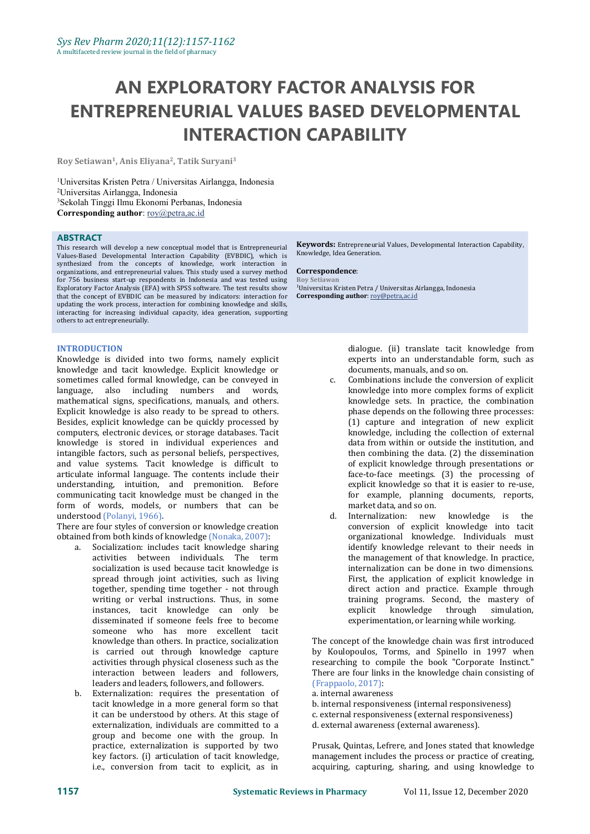# **AN EXPLORATORY FACTOR ANALYSIS FOR ENTREPRENEURIAL VALUES BASED DEVELOPMENTAL INTERACTION CAPABILITY**

**Roy Setiawan 1 , Anis Eliyana 2 ,Tatik Suryani<sup>3</sup>**

Universitas Kristen Petra / Universitas Airlangga, Indonesia Universitas Airlangga, Indonesia Sekolah Tinggi Ilmu Ekonomi Perbanas, Indonesia **Corresponding author**: [roy@petra,ac.id](mailto:roy@petra,ac.id)

#### **ABSTRACT**

This research will develop a new conceptual model that is Entrepreneurial Values-Based Developmental Interaction Capability (EVBDIC), which is synthesized from the concepts of knowledge, work interaction in organizations, and entrepreneurial values. This study used a survey method **Correspond**<br>for 756 business start-up respondents in Indonesia and was tested using Roy Setiawan for 756 business start-up respondents in Indonesia and was tested using Exploratory Factor Analysis (EFA) with SPSS software. The test results show <sup>1</sup>Universitas Kristen Petra / Universitas A<br>that the concept of EVBDIC can be measured by indicators: interaction for **Corresponding author**: <u>ro</u> that the concept of EVBDIC can be measured by indicators: interaction for updating the work process, interaction for combining knowledge and skills, interacting for increasing individual capacity, idea generation, supporting others to act entrepreneurially.

#### **INTRODUCTION**

Knowledge is divided into two forms, namely explicit sometimes called formal knowledge, can be conveyed in c. language, also including numbers and words, mathematical signs, specifications, manuals, and others. Explicit knowledge is also ready to be spread to others. Besides, explicit knowledge can be quickly processed by computers, electronic devices, or storage databases. Tacit knowledge is stored in individual experiences and intangible factors, such as personal beliefs, perspectives, and value systems. Tacit knowledge is difficult to articulate informal language. The contents include their understanding, intuition, and premonition. Before communicating tacit knowledge must be changed in the form of words, models, or numbers that can be understood (Polanyi, 1966).

There are four styles of conversion or knowledge creation obtained from both kinds of knowledge (Nonaka, 2007):<br>a. Socialization: includes tacit knowledge sharing

- Socialization: includes tacit knowledge sharing activities between individuals. The term socialization is used because tacit knowledge is spread through joint activities, such as living together, spending time together - not through writing or verbal instructions. Thus, in some training instances, tacit knowledge can only be explicit instances, tacit knowledge can only be disseminated if someone feels free to become someone who has more excellent tacit knowledge than others. In practice, socialization is carried out through knowledge capture activities through physical closeness such as the interaction between leaders and followers, leaders and leaders, followers, and followers.
- b. Externalization: requires the presentation of tacit knowledge in a more general form so that it can be understood by others. At this stage of externalization, individuals are committed to a group and become one with the group. In practice, externalization is supported by two key factors. (i) articulation of tacit knowledge, i.e., conversion from tacit to explicit, as in

**Keywords:** Entrepreneurial Values, Developmental Interaction Capability, Knowledge, Idea Generation.

#### $Correspondence:$

<sup>1</sup>Universitas Kristen Petra / Universitas Airlangga, Indonesia

dialogue. (ii) translate tacit knowledge from experts into an understandable form, such as documents, manuals, and so on.

- Combinations include the conversion of explicit knowledge into more complex forms of explicit knowledge sets. In practice, the combination phase depends on the following three processes: (1) capture and integration of new explicit knowledge, including the collection of external data from within or outside the institution, and then combining the data. (2) the dissemination of explicit knowledge through presentations or face-to-face meetings. (3) the processing of explicit knowledge so that it is easier to re-use, for example, planning documents, reports, market data, and so on.<br>Internalization: new knowledge is the
- d. Internalization: new conversion of explicit knowledge into tacit organizational knowledge. Individuals must identify knowledge relevant to their needs in the management of that knowledge. In practice, internalization can be done in two dimensions. First, the application of explicit knowledge in direct action and practice. Example through training programs. Second, the mastery of explicit knowledge through simulation, knowledge through experimentation, or learning while working.

The concept of the knowledge chain was first introduced by Koulopoulos, Torms, and Spinello in 1997 when researching to compile the book "Corporate Instinct." There are four links in the knowledge chain consisting of (Frappaolo, 2017):

a. internal awareness

b. internal responsiveness (internal responsiveness) c. external responsiveness (external responsiveness) d. external awareness (external awareness).

Prusak, Quintas, Lefrere, and Jones stated that knowledge management includes the process or practice of creating, acquiring, capturing, sharing, and using knowledge to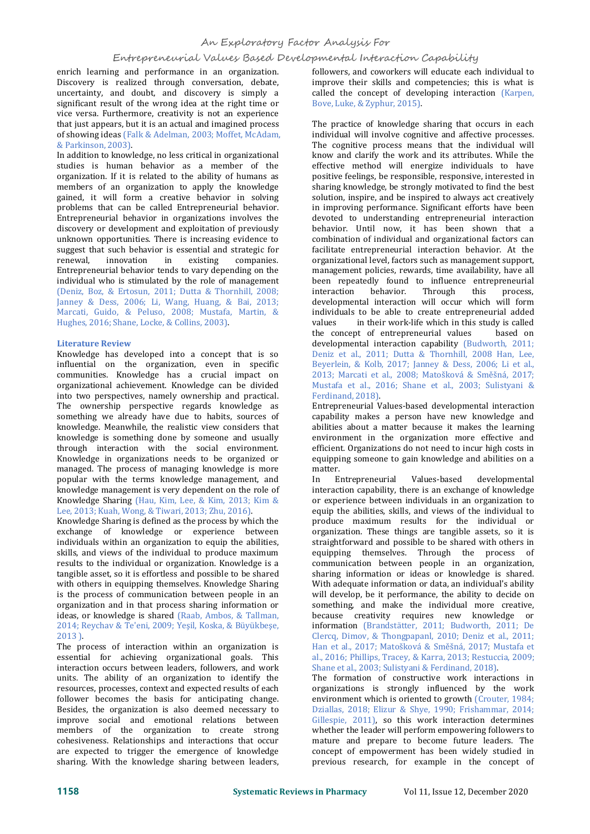# An Exploratory Factor Analysis For

# Entrepreneurial Values Based Developmental Interaction Capability

enrich learning and performance in an organization. Discovery is realized through conversation, debate, uncertainty, and doubt, and discovery is simply a significant result of the wrong idea at the right time or vice versa. Furthermore, creativity is not an experience that just appears, but it is an actual and imagined process of showing ideas (Falk & Adelman, 2003; Moffet, McAdam, & Parkinson, 2003).

In addition to knowledge, no less critical in organizational studies is human behavior as a member of the organization. If it is related to the ability of humans as members of an organization to apply the knowledge gained, it will form a creative behavior in solving problems that can be called Entrepreneurial behavior. Entrepreneurial behavior in organizations involves the discovery or development and exploitation of previously unknown opportunities. There is increasing evidence to suggest that such behavior is essential and strategic for renewal, innovation in existing companies. renewal, innovation in existing companies. Entrepreneurial behavior tends to vary depending on the individual who is stimulated by the role of management been reper (Deniz, Boz, & Ertosun, 2011; Dutta & Thornhill, 2008; interaction (Deniz, Boz, & Ertosun, 2011; Dutta & Thornhill, 2008; Janney & Dess, 2006; Li, Wang, Huang, & Bai, 2013; Marcati, Guido, & Peluso, 2008; Mustafa, Martin, & **individ**<br>Hughes 2016; Shane Locke & Collins 2003) **12 values** Hughes, 2016; Shane, Locke, & Collins, 2003).

#### **Literature Review**

Knowledge has developed into a concept that is so influential on the organization, even in specific communities. Knowledge has a crucial impact on organizational achievement. Knowledge can be divided into two perspectives, namely ownership and practical. The ownership perspective regards knowledge as something we already have due to habits, sources of knowledge. Meanwhile, the realistic view considers that knowledge is something done by someone and usually through interaction with the social environment. Knowledge in organizations needs to be organized or managed. The process of managing knowledge is more and management. The terms knowledge management, and a line popular with the terms knowledge management, and knowledge management is very dependent on the role of Knowledge Sharing (Hau, Kim, Lee, & Kim, 2013; Kim & Lee, 2013; Kuah, Wong, & Tiwari, 2013; Zhu, 2016).

Knowledge Sharing is defined as the process by which the exchange of knowledge or experience between individuals within an organization to equip the abilities, skills, and views of the individual to produce maximum results to the individual or organization. Knowledge is a tangible asset, so it is effortless and possible to be shared with others in equipping themselves. Knowledge Sharing is the process of communication between people in an organization and in that process sharing information or ideas, or knowledge is shared (Raab, Ambos, & Tallman, 2014; Reychav & Te'eni, 2009; Yeşil, Koska, & Büyükbeşe, 2013 ).

The process of interaction within an organization is essential for achieving organizational goals. This interaction occurs between leaders, followers, and work units. The ability of an organization to identify the resources, processes, context and expected results of each follower becomes the basis for anticipating change. Besides, the organization is also deemed necessary to improve social and emotional relations between members of the organization to create strong cohesiveness. Relationships and interactions that occur are expected to trigger the emergence of knowledge sharing. With the knowledge sharing between leaders,

followers, and coworkers will educate each individual to improve their skills and competencies; this is what is called the concept of developing interaction (Karpen, Bove, Luke, & Zyphur, 2015).

The practice of knowledge sharing that occurs in each individual will involve cognitive and affective processes. The cognitive process means that the individual will know and clarify the work and its attributes. While the effective method will energize individuals to have positive feelings, be responsible, responsive, interested in sharing knowledge, be strongly motivated to find the best solution, inspire, and be inspired to always act creatively in improving performance. Significant efforts have been devoted to understanding entrepreneurial interaction behavior. Until now, it has been shown that a combination of individual and organizational factors can facilitate entrepreneurial interaction behavior. At the organizational level, factors such as management support, management policies, rewards, time availability, have all been repeatedly found to influence entrepreneurial interaction behavior. Through this process, interaction behavior. Through this process, developmental interaction will occur which will form individuals to be able to create entrepreneurial added in their work-life which in this study is called<br>ot of entrepreneurial values based on the concept of entrepreneurial values developmental interaction capability (Budworth, 2011; Deniz et al., 2011; Dutta & Thornhill, 2008 Han, Lee, Beyerlein, & Kolb, 2017; Janney & Dess, 2006; Li et al., 2013; Marcati et al., 2008; Matošková & Směšná, 2017; Mustafa et al., 2016; Shane et al., 2003; Sulistyani & Ferdinand, 2018).

Entrepreneurial Values-based developmental interaction capability makes a person have new knowledge and abilities about a matter because it makes the learning environment in the organization more effective and efficient. Organizations do not need to incur high costs in equipping someone to gain knowledge and abilities on a matter.

In Entrepreneurial Values-based developmental interaction capability, there is an exchange of knowledge or experience between individuals in an organization to equip the abilities, skills, and views of the individual to produce maximum results for the individual or organization. These things are tangible assets, so it is straightforward and possible to be shared with others in equipping themselves. Through the process of communication between people in an organization, sharing information or ideas or knowledge is shared. With adequate information or data, an individual's ability will develop, be it performance, the ability to decide on something, and make the individual more creative, because creativity requires new knowledge or information (Brandstätter, 2011; Budworth, 2011; De Clercq, Dimov, & Thongpapanl, 2010; Deniz et al., 2011; Han et al., 2017; Matošková & Směšná, 2017; Mustafa et al., 2016; Phillips, Tracey, & Karra, 2013; Restuccia, 2009; Shane et al., 2003; Sulistyani & Ferdinand, 2018).

The formation of constructive work interactions in organizations is strongly influenced by the work environment which is oriented to growth (Crouter, 1984; Dziallas, 2018; Elizur & Shye, 1990; Frishammar, 2014; Gillespie, 2011), so this work interaction determines whether the leader will perform empowering followers to mature and prepare to become future leaders. The concept of empowerment has been widely studied in previous research, for example in the concept of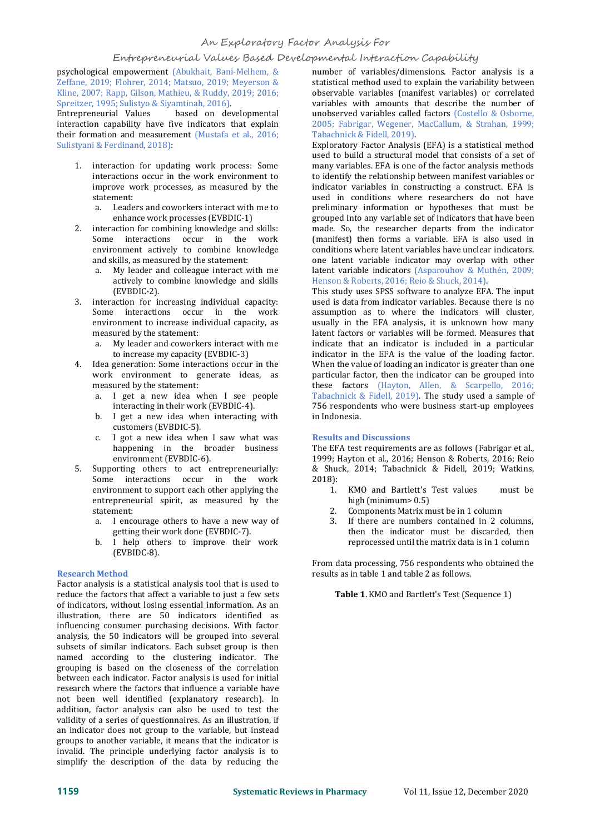# An Exploratory Factor Analysis For

### Entrepreneurial Values Based Developmental Interaction Capability

psychological empowerment (Abukhait, Bani-Melhem, & Zeffane, 2019; Flohrer, 2014; Matsuo, 2019; Meyerson & Kline, 2007; Rapp, Gilson, Mathieu, & Ruddy, 2019; 2016; Spreitzer, 1995; Sulistyo & Siyamtinah, 2016).<br>Entrepreneurial Values based on dev

based on developmental interaction capability have five indicators that explain their formation and measurement (Mustafa et al., 2016; Sulistyani & Ferdinand, 2018):

- 1. interaction for updating work process: Some interactions occur in the work environment to improve work processes, as measured by the statement:<br>a. Leade
	- Leaders and coworkers interact with me to enhance work processes (EVBDIC-1)
- 2. interaction for combining knowledge and skills: Some interactions occur in the work environment actively to combine knowledge and skills, as measured by the statement:<br>a. My leader and colleague interact w
	- My leader and colleague interact with me actively to combine knowledge and skills (EVBDIC-2).
- 3. interaction for increasing individual capacity: Some interactions occur in the work environment to increase individual capacity, as measured by the statement:
	- a. My leader and coworkers interact with me to increase my capacity (EVBDIC-3)
- 4. Idea generation: Some interactions occur in the work environment to generate ideas, as measured by the statement:
	- a. I get a new idea when I see people interacting in their work (EVBDIC-4).
	- b. I get a new idea when interacting with customers (EVBDIC-5).
	- c. I got a new idea when I saw what was happening in the broader business environment (EVBDIC-6).
- 5. Supporting others to act entrepreneurially: Some interactions occur in the work environment to support each other applying the  $1.$ entrepreneurial spirit, as measured by the statement: 2. statement:
	- getting their work done (EVBDIC-7).
	- b. I help others to improve their work (EVBIDC-8).

#### **Research Method**

Factor analysis is a statistical analysis tool that is used to reduce the factors that affect a variable to just a few sets of indicators, without losing essential information. As an illustration, there are 50 indicators identified as influencing consumer purchasing decisions. With factor analysis, the 50 indicators will be grouped into several subsets of similar indicators. Each subset group is then named according to the clustering indicator. The grouping is based on the closeness of the correlation between each indicator. Factor analysis is used for initial research where the factors that influence a variable have not been well identified (explanatory research). In addition, factor analysis can also be used to test the validity of a series of questionnaires. As an illustration, if an indicator does not group to the variable, but instead groups to another variable, it means that the indicator is invalid. The principle underlying factor analysis is to simplify the description of the data by reducing the

number of variables/dimensions. Factor analysis is a statistical method used to explain the variability between observable variables (manifest variables) or correlated variables with amounts that describe the number of unobserved variables called factors (Costello & Osborne, 2005; Fabrigar, Wegener, MacCallum, & Strahan, 1999; Tabachnick & Fidell, 2019).

Exploratory Factor Analysis (EFA) is a statistical method used to build a structural model that consists of a set of many variables. EFA is one of the factor analysis methods to identify the relationship between manifest variables or indicator variables in constructing a construct. EFA is used in conditions where researchers do not have preliminary information or hypotheses that must be grouped into any variable set of indicators that have been made. So, the researcher departs from the indicator (manifest) then forms a variable. EFA is also used in conditions where latent variables have unclear indicators. one latent variable indicator may overlap with other latent variable indicators (Asparouhov & Muthén, 2009; Henson & Roberts, 2016; Reio & Shuck, 2014).

This study uses SPSS software to analyze EFA. The input used is data from indicator variables. Because there is no assumption as to where the indicators will cluster, usually in the EFA analysis, it is unknown how many latent factors or variables will be formed. Measures that indicate that an indicator is included in a particular indicator in the EFA is the value of the loading factor. When the value of loading an indicator is greater than one particular factor, then the indicator can be grouped into these factors (Hayton, Allen, & Scarpello, 2016; Tabachnick & Fidell, 2019). The study used a sample of 756 respondents who were business start-up employees in Indonesia.

#### **Results and Discussions**

The EFA test requirements are as follows (Fabrigar et al., 1999; Hayton et al., 2016; Henson & Roberts, 2016; Reio & Shuck, 2014; Tabachnick & Fidell, 2019; Watkins, 2018):

- KMO and Bartlett's Test values must be high (minimum> 0.5)
- 2. Components Matrix must be in 1 column
- a. I encourage others to have a new way of 3. If there are numbers contained in 2 columns, then the indicator must be discarded, then reprocessed until the matrix data is in 1 column

From data processing, 756 respondents who obtained the results as in table 1 and table 2 as follows.

**Table 1.** KMO and Bartlett's Test (Sequence 1)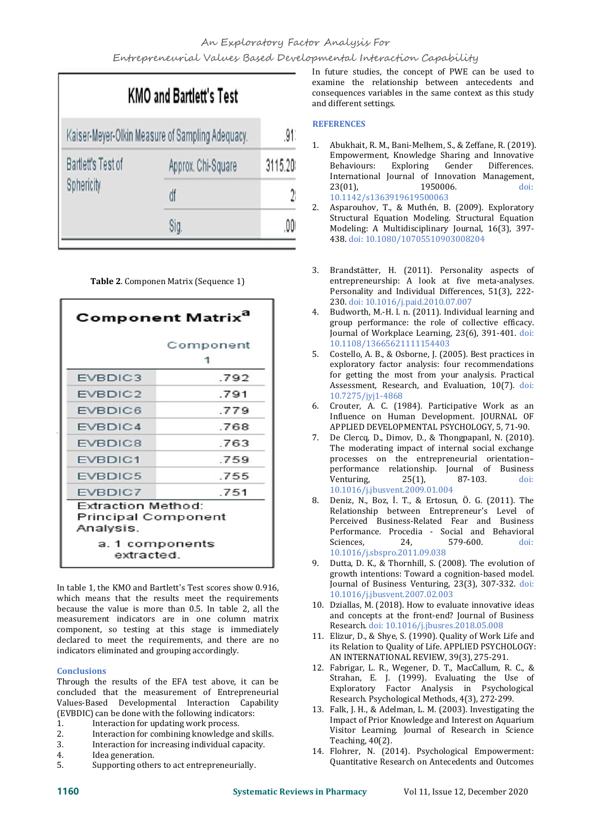|                                                  | <b>KMO and Bartlett's Test</b> |         |
|--------------------------------------------------|--------------------------------|---------|
| Kaiser-Meyer-Olkin Measure of Sampling Adequacy. |                                | .91'    |
| <b>Bartlett's Test of</b><br>Sphericity          | Approx. Chi-Square             | 3115.20 |
|                                                  | df                             | 28      |
|                                                  | Sig.                           | ,00(    |

**Table 2**. Componen Matrix (Sequence 1)

| Component                                 |
|-------------------------------------------|
|                                           |
| .792                                      |
| .791                                      |
| .779                                      |
| .768                                      |
| 763                                       |
| .759                                      |
| .755                                      |
| .751                                      |
| Extraction Method:<br>Principal Component |
|                                           |

In table 1, the KMO and Bartlett's Test scores show 0.916, which means that the results meet the requirements because the value is more than 0.5. In table 2, all the measurement indicators are in one column matrix component, so testing at this stage is immediately declared to meet the requirements, and there are no indicators eliminated and grouping accordingly.

# **Conclusions**

Through the results of the EFA test above, it can be concluded that the measurement of Entrepreneurial Values-Based Developmental Interaction Capability (EVBDIC) can be done with the following indicators:<br>1 Interaction for undating work process

- 1. Interaction for updating work process.<br>2. Interaction for combining knowledge a
- 2. Interaction for combining knowledge and skills.<br>3. Interaction for increasing individual capacity.
- 3. Interaction for increasing individual capacity.
- 4. Idea generation.<br>5. Supporting other
- 5. Supporting others to act entrepreneurially.

In future studies, the concept of PWE can be used to examine the relationship between antecedents and consequences variables in the same context as this study and different settings.

#### **REFERENCES**

- 1. Abukhait, R. M., Bani-Melhem, S., & Zeffane, R. (2019). Empowerment, Knowledge Sharing and Innovative Exploring Gender International Journal of Innovation Management,<br>23(01), 1950006. doi: 23(01), 1950006. doi: 10.1142/s1363919619500063
- 2. Asparouhov, T., & Muthén, B. (2009). Exploratory Structural Equation Modeling. Structural Equation Modeling: A Multidisciplinary Journal, 16(3), 397- 438. doi: 10.1080/10705510903008204
- 3. Brandstätter, H. (2011). Personality aspects of entrepreneurship: A look at five meta-analyses. Personality and Individual Differences, 51(3), 222- 230. doi: 10.1016/j.paid.2010.07.007
- 4. Budworth, M.-H. l. n. (2011). Individual learning and group performance: the role of collective efficacy. Journal of Workplace Learning, 23(6), 391-401. doi: 10.1108/13665621111154403
- 5. Costello, A. B., & Osborne, J. (2005). Best practices in exploratory factor analysis: four recommendations for getting the most from your analysis. Practical Assessment, Research, and Evaluation, 10(7). doi: 10.7275/jyj1-4868
- 6. Crouter, A. C. (1984). Participative Work as an Influence on Human Development. JOURNAL OF APPLIED DEVELOPMENTAL PSYCHOLOGY,5, 71-90.
- 7. De Clercq, D., Dimov, D., & Thongpapanl, N. (2010). The moderating impact of internal social exchange processes on the entrepreneurial orientation– performance relationship. Journal of Business<br>Venturing, 25(1), 87-103. doi: Venturing, 25(1), 87-103. doi: 10.1016/j.jbusvent.2009.01.004
- 8. Deniz, N., Boz, İ. T., & Ertosun, Ö. G. (2011). The Relationship between Entrepreneur's Level of Perceived Business-Related Fear and Business Performance. Procedia - Social and Behavioral<br>Sciences. 24. 579-600. doi: Sciences, 24, 579-600. doi: 10.1016/j.sbspro.2011.09.038
- 9. Dutta, D. K., & Thornhill, S. (2008). The evolution of growth intentions: Toward a cognition-based model. Journal of Business Venturing, 23(3), 307-332. doi: 10.1016/j.jbusvent.2007.02.003
- 10. Dziallas, M. (2018). How to evaluate innovative ideas and concepts at the front-end? Journal of Business Research. doi: 10.1016/j.jbusres.2018.05.008
- 11. Elizur, D., & Shye, S. (1990). Quality of Work Life and its Relation to Quality of Life. APPLIED PSYCHOLOGY: AN INTERNATIONAL REVIEW, 39(3), 275-291.
- 12. Fabrigar, L. R., Wegener, D. T., MacCallum, R. C., & Strahan, E. J. (1999). Evaluating the Use of Exploratory Factor Analysis in Psychological Research. Psychological Methods, 4(3), 272-299.
- 13. Falk, J. H., & Adelman, L. M. (2003). Investigating the Impact of Prior Knowledge and Interest on Aquarium Visitor Learning. Journal of Research in Science Teaching, 40(2).
- 14. Flohrer, N. (2014). Psychological Empowerment: Quantitative Research on Antecedents and Outcomes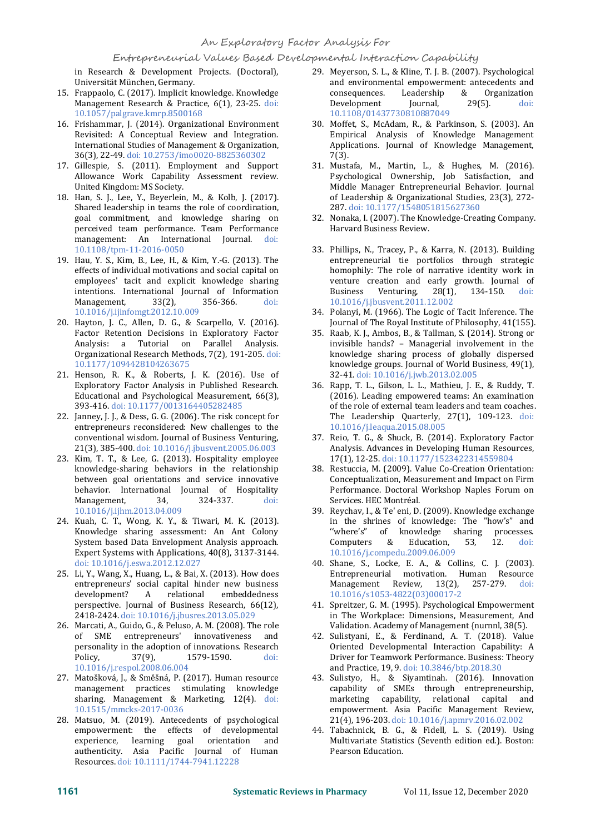### Entrepreneurial Values Based Developmental Interaction Capability

in Research & Development Projects. (Doctoral), Universität München, Germany.

- 15. Frappaolo, C. (2017). Implicit knowledge. Knowledge Management Research & Practice, 6(1), 23-25. doi: 10.1057/palgrave.kmrp.8500168
- 16. Frishammar, J. (2014). Organizational Environment Revisited: A Conceptual Review and Integration. International Studies of Management & Organization, 36(3), 22-49. doi: 10.2753/imo0020-8825360302
- 17. Gillespie, S. (2011). Employment and Support Allowance Work Capability Assessment review. United Kingdom: MS Society.
- 18. Han, S. J., Lee, Y., Beyerlein, M., & Kolb, J. (2017). Shared leadership in teams the role of coordination, goal commitment, and knowledge sharing on perceived team performance. Team Performance management: An International Journal. doi: 10.1108/tpm-11-2016-0050
- 19. Hau, Y. S., Kim, B., Lee, H., & Kim, Y.-G. (2013). The effects of individual motivations and social capital on employees' tacit and explicit knowledge sharing venture<br>intentions. International Journal of Information Business intentions. International Journal of Information<br>Management, 33(2), 356-366. doi: Management, 10.1016/j.ijinfomgt.2012.10.009
- 20. Hayton, J. C., Allen, D. G., & Scarpello, V. (2016). Factor Retention Decisions in Exploratory Factor Analysis: a Tutorial on Parallel Analysis. Organizational Research Methods, 7(2),191-205. doi: 10.1177/1094428104263675
- 21. Henson, R. K., & Roberts, J. K. (2016). Use of Exploratory Factor Analysis in Published Research. Educational and Psychological Measurement, 66(3), 393-416. doi: 10.1177/0013164405282485
- 22. Janney, J. J., & Dess, G. G. (2006). The risk concept for entrepreneurs reconsidered: New challenges to the conventional wisdom. Journal of Business Venturing, 21(3), 385-400. doi: 10.1016/j.jbusvent.2005.06.003
- 23. Kim, T. T., & Lee, G. (2013). Hospitality employee knowledge-sharing behaviors in the relationship between goal orientations and service innovative behavior. International Journal of Hospitality<br>Management. 34, 324-337. doi: Management, 10.1016/j.ijhm.2013.04.009
- 24. Kuah, C. T., Wong, K. Y., & Tiwari, M. K. (2013). Knowledge sharing assessment: An Ant Colony "where's"<br>System based Data Envelopment Analysis approach. Computers System based Data Envelopment Analysis approach. Expert Systems with Applications, 40(8), 3137-3144. doi: 10.1016/j.eswa.2012.12.027
- 25. Li, Y., Wang, X., Huang, L., & Bai, X. (2013). How does Entrepreneur<br>entrepreneurs' social capital hinder new business Management entrepreneurs' social capital hinder new business<br>development? A relational embeddedness embeddedness perspective. Journal of Business Research, 66(12), 2418-2424. doi: 10.1016/j.jbusres.2013.05.029
- 26. Marcati, A., Guido, G., & Peluso, A. M. (2008). The role of SME entrepreneurs' innovativeness and personality in the adoption of innovations. Research Policy,  $37(9)$ ,  $1579-1590$ . doi: 1579-1590. 10.1016/j.respol.2008.06.004
- 27. Matošková, J., & Směšná, P. (2017). Human resource management practices stimulating knowledge sharing. Management & Marketing, 12(4). doi: 10.1515/mmcks-2017-0036
- 28. Matsuo, M. (2019). Antecedents of psychological empowerment: the effects of developmental<br>experience, learning goal orientation and experience, learning goal authenticity. Asia Pacific Journal of Human Resources. doi: 10.1111/1744-7941.12228
- 29. Meyerson, S. L., & Kline, T. J. B. (2007). Psychological and environmental empowerment: antecedents and<br>consequences. Leadership & Organization consequences. Leadership & Organization<br>Development Journal, 29(5). doi: Development 10.1108/01437730810887049
- 30. Moffet, S., McAdam, R., & Parkinson, S. (2003). An Empirical Analysis of Knowledge Management Applications. Journal of Knowledge Management, 7(3).
- 31. Mustafa, M., Martin, L., & Hughes, M. (2016). Psychological Ownership, Job Satisfaction, and Middle Manager Entrepreneurial Behavior. Journal of Leadership & Organizational Studies, 23(3), 272- 287. doi: 10.1177/1548051815627360
- 32. Nonaka, I. (2007). The Knowledge-Creating Company. Harvard Business Review.
- 33. Phillips, N., Tracey, P., & Karra, N. (2013). Building entrepreneurial tie portfolios through strategic homophily: The role of narrative identity work in venture creation and early growth. Journal of Business Venturing, 28(1), 134-150. doi: Venturing, 10.1016/j.jbusvent.2011.12.002
- 34. Polanyi, M. (1966). The Logic of Tacit Inference. The Journal of The Royal Institute of Philosophy, 41(155).
- 35. Raab, K. J., Ambos, B., & Tallman, S. (2014). Strong or invisible hands? – Managerial involvement in the knowledge sharing process of globally dispersed knowledge groups. Journal of World Business, 49(1), 32-41. doi: 10.1016/j.jwb.2013.02.005
- 36. Rapp, T. L., Gilson, L. L., Mathieu, J. E., & Ruddy, T. (2016). Leading empowered teams: An examination of the role of external team leaders and team coaches. The Leadership Quarterly, 27(1), 109-123. doi: 10.1016/j.leaqua.2015.08.005
- 37. Reio, T. G., & Shuck, B. (2014). Exploratory Factor Analysis. Advances in Developing Human Resources, 17(1), 12-25. doi: 10.1177/1523422314559804
- 38. Restuccia, M. (2009). Value Co-Creation Orientation: Conceptualization, Measurement and Impact on Firm Performance. Doctoral Workshop Naples Forum on Services. HEC Montréal.
- 39. Reychav, I., & Te' eni, D. (2009). Knowledge exchange in the shrines of knowledge: The "how's" and "where's" of knowledge sharing processes.<br>Computers & Education, 53, 12. doi: Education, 10.1016/j.compedu.2009.06.009
- 40. Shane, S., Locke, E. A., & Collins, C. J. (2003). Entrepreneurial motivation. Human Resource<br>Management Review. 13(2). 257-279. doi: Review,  $13(2)$ , 10.1016/s1053-4822(03)00017-2
- 41. Spreitzer, G. M. (1995). Psychological Empowerment in The Workplace: Dimensions, Measurement, And Validation. Academy of Management {nurnnl, 38(5).
- 42. Sulistyani, E., & Ferdinand, A. T. (2018). Value Oriented Developmental Interaction Capability: A Driver for Teamwork Performance. Business: Theory and Practice, 19, 9. doi: 10.3846/btp.2018.30
- 43. Sulistyo, H., & Siyamtinah. (2016). Innovation capability of SMEs through entrepreneurship, marketing capability, relational capital and empowerment. Asia Pacific Management Review, 21(4), 196-203. doi: 10.1016/j.apmrv.2016.02.002
- 44. Tabachnick, B. G., & Fidell, L. S. (2019). Using Multivariate Statistics (Seventh edition ed.). Boston: Pearson Education.